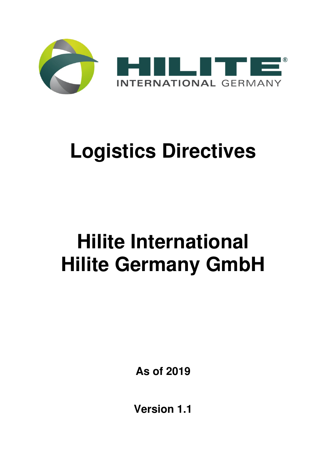

# **Logistics Directives**

# **Hilite International Hilite Germany GmbH**

**As of 2019** 

**Version 1.1**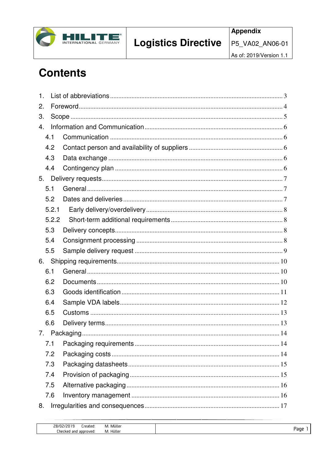

As of: 2019/Version 1.1

# **Contents**

| $\mathbf{1}$ . |       |  |  |  |  |  |  |
|----------------|-------|--|--|--|--|--|--|
| 2.             |       |  |  |  |  |  |  |
| 3.             |       |  |  |  |  |  |  |
| 4.             |       |  |  |  |  |  |  |
|                | 4.1   |  |  |  |  |  |  |
|                | 4.2   |  |  |  |  |  |  |
|                | 4.3   |  |  |  |  |  |  |
|                | 4.4   |  |  |  |  |  |  |
| 5.             |       |  |  |  |  |  |  |
|                | 5.1   |  |  |  |  |  |  |
|                | 5.2   |  |  |  |  |  |  |
|                | 5.2.1 |  |  |  |  |  |  |
|                | 5.2.2 |  |  |  |  |  |  |
|                | 5.3   |  |  |  |  |  |  |
|                | 5.4   |  |  |  |  |  |  |
|                | 5.5   |  |  |  |  |  |  |
| 6.             |       |  |  |  |  |  |  |
|                | 6.1   |  |  |  |  |  |  |
|                | 6.2   |  |  |  |  |  |  |
|                | 6.3   |  |  |  |  |  |  |
|                | 6.4   |  |  |  |  |  |  |
|                | 6.5   |  |  |  |  |  |  |
|                | 6.6   |  |  |  |  |  |  |
| 7.             |       |  |  |  |  |  |  |
|                | 7.1   |  |  |  |  |  |  |
|                | 7.2   |  |  |  |  |  |  |
|                | 7.3   |  |  |  |  |  |  |
|                | 7.4   |  |  |  |  |  |  |
|                | 7.5   |  |  |  |  |  |  |
|                | 7.6   |  |  |  |  |  |  |
| 8.             |       |  |  |  |  |  |  |

| זו סר<br>reated:<br>--      | Müller<br>IVI.<br>the contract of the contract of the contract of |                 |
|-----------------------------|-------------------------------------------------------------------|-----------------|
| and<br>Lhecked<br>aooroved: | Hülleı<br>IVI.                                                    | ane<br><u>ب</u> |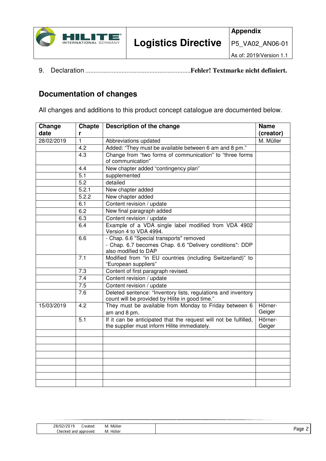

9. Declaration ................................................................**Fehler! Textmarke nicht definiert.**

# **Documentation of changes**

All changes and additions to this product concept catalogue are documented below.

| Change     | <b>Chapte</b>    | Description of the change                                                                                                    | <b>Name</b>       |
|------------|------------------|------------------------------------------------------------------------------------------------------------------------------|-------------------|
| date       | r                |                                                                                                                              | (creator)         |
| 28/02/2019 | 1                | Abbreviations updated                                                                                                        | M. Müller         |
|            | 4.2              | Added: "They must be available between 6 am and 8 pm."                                                                       |                   |
|            | 4.3              | Change from "two forms of communication" to "three forms                                                                     |                   |
|            |                  | of communication"                                                                                                            |                   |
|            | 4.4              | New chapter added "contingency plan"                                                                                         |                   |
|            | $\overline{5.1}$ | supplemented                                                                                                                 |                   |
|            | 5.2              | detailed                                                                                                                     |                   |
|            | 5.2.1            | New chapter added                                                                                                            |                   |
|            | 5.2.2            | New chapter added                                                                                                            |                   |
|            | 6.1              | Content revision / update                                                                                                    |                   |
|            | 6.2              | New final paragraph added                                                                                                    |                   |
|            | 6.3              | Content revision / update                                                                                                    |                   |
|            | 6.4              | Example of a VDA single label modified from VDA 4902<br>Version 4 to VDA 4994.                                               |                   |
|            | 6.6              | - Chap. 6.6 "Special transports" removed<br>- Chap. 6.7 becomes Chap. 6.6 "Delivery conditions": DDP<br>also modified to DAP |                   |
|            | 7.1              | Modified from "in EU countries (including Switzerland)" to<br>"European suppliers"                                           |                   |
|            | 7.3              | Content of first paragraph revised.                                                                                          |                   |
|            | 7.4              | Content revision / update                                                                                                    |                   |
|            | 7.5              | Content revision / update                                                                                                    |                   |
|            | 7.6              | Deleted sentence: "Inventory lists, regulations and inventory<br>count will be provided by Hilite in good time."             |                   |
| 15/03/2019 | 4.2              | They must be available from Monday to Friday between 6<br>am and 8 pm.                                                       | Hörner-<br>Geiger |
|            | 5.1              | If it can be anticipated that the request will not be fulfilled,<br>the supplier must inform Hilite immediately.             | Hörner-<br>Geiger |
|            |                  |                                                                                                                              |                   |
|            |                  |                                                                                                                              |                   |
|            |                  |                                                                                                                              |                   |
|            |                  |                                                                                                                              |                   |
|            |                  |                                                                                                                              |                   |
|            |                  |                                                                                                                              |                   |
|            |                  |                                                                                                                              |                   |
|            |                  |                                                                                                                              |                   |

|      | <br>M. Muller | 28/02<br>reaten.<br>. |
|------|---------------|-----------------------|
| Page | M. Hüller     | Checked and approved: |
|      |               |                       |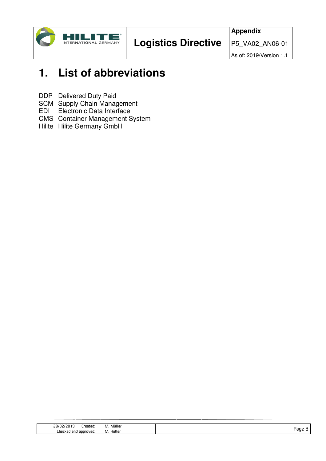

# **1. List of abbreviations**

DDP Delivered Duty Paid

SCM Supply Chain Management

EDI Electronic Data Interface

- CMS Container Management System
- Hilite Hilite Germany GmbH

| <b>28/02</b>                                                                                                                                 |          |
|----------------------------------------------------------------------------------------------------------------------------------------------|----------|
| Mülle<br>ireateo.<br>IVI.<br>the contract of the contract of the contract of the contract of the contract of the contract of the contract of |          |
| Hüller<br>--<br>_her<br>ecked<br>M.<br>and<br>oroved                                                                                         | ane<br>- |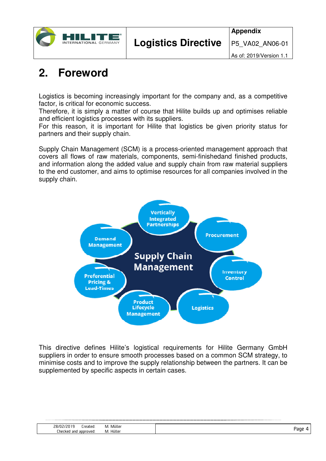

# **2. Foreword**

 $\mathsf{l}$ 

Logistics is becoming increasingly important for the company and, as a competitive factor, is critical for economic success.

Therefore, it is simply a matter of course that Hilite builds up and optimises reliable and efficient logistics processes with its suppliers.

For this reason, it is important for Hilite that logistics be given priority status for partners and their supply chain.

Supply Chain Management (SCM) is a process-oriented management approach that covers all flows of raw materials, components, semi-finishedand finished products, and information along the added value and supply chain from raw material suppliers to the end customer, and aims to optimise resources for all companies involved in the supply chain.



This directive defines Hilite's logistical requirements for Hilite Germany GmbH suppliers in order to ensure smooth processes based on a common SCM strategy, to minimise costs and to improve the supply relationship between the partners. It can be supplemented by specific aspects in certain cases.

| 28/02<br>reated.<br>צו וצ     | . Müller<br>M. |     |
|-------------------------------|----------------|-----|
| Checked<br>aooroved:<br>' and | Hüller<br>M.   | ade |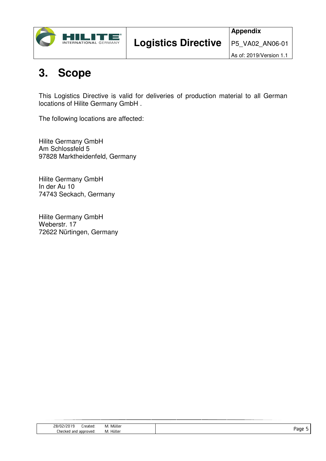

#### As of: 2019/Version 1.1

# **3. Scope**

This Logistics Directive is valid for deliveries of production material to all German locations of Hilite Germany GmbH .

The following locations are affected:

Hilite Germany GmbH Am Schlossfeld 5 97828 Marktheidenfeld, Germany

Hilite Germany GmbH In der Au 10 74743 Seckach, Germany

Hilite Germany GmbH Weberstr. 17 72622 Nürtingen, Germany

| ,כח/פי<br>reated:<br>וע       | <br>Muller<br>.<br>the contract of the contract of the contract of the contract of the contract of |      |
|-------------------------------|----------------------------------------------------------------------------------------------------|------|
| _hecked<br>and<br>roved<br>dl | .<br>Huller                                                                                        | aoe' |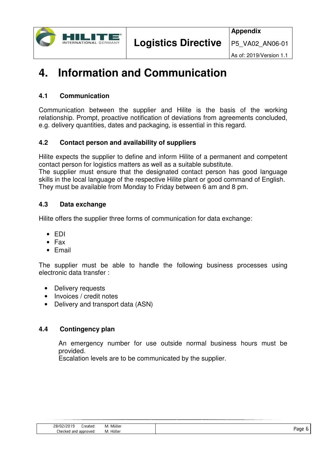

# **4. Information and Communication**

# **4.1 Communication**

Communication between the supplier and Hilite is the basis of the working relationship. Prompt, proactive notification of deviations from agreements concluded, e.g. delivery quantities, dates and packaging, is essential in this regard.

# **4.2 Contact person and availability of suppliers**

Hilite expects the supplier to define and inform Hilite of a permanent and competent contact person for logistics matters as well as a suitable substitute. The supplier must ensure that the designated contact person has good language

skills in the local language of the respective Hilite plant or good command of English. They must be available from Monday to Friday between 6 am and 8 pm.

# **4.3 Data exchange**

Hilite offers the supplier three forms of communication for data exchange:

- EDI
- Fax
- Email

The supplier must be able to handle the following business processes using electronic data transfer :

- Delivery requests
- Invoices / credit notes
- Delivery and transport data (ASN)

# **4.4 Contingency plan**

An emergency number for use outside normal business hours must be provided.

Escalation levels are to be communicated by the supplier.

| Mülle<br>281<br>IVI.<br>'eated<br>$\overline{\phantom{a}}$<br>the contract of the contract of the contract of the contract of the contract of the contract of the contract of |          |
|-------------------------------------------------------------------------------------------------------------------------------------------------------------------------------|----------|
| lülle<br>_her<br>-k en<br>roved<br>IVI.<br>ann<br>and<br>--                                                                                                                   | ane<br>- |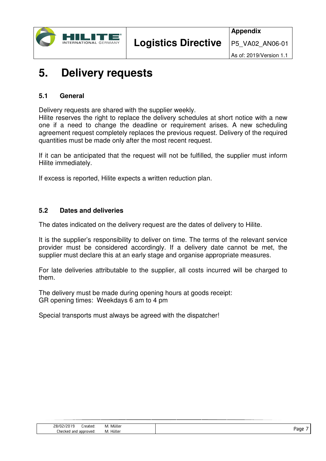

# **5. Delivery requests**

### **5.1 General**

Delivery requests are shared with the supplier weekly.

Hilite reserves the right to replace the delivery schedules at short notice with a new one if a need to change the deadline or requirement arises. A new scheduling agreement request completely replaces the previous request. Delivery of the required quantities must be made only after the most recent request.

If it can be anticipated that the request will not be fulfilled, the supplier must inform Hilite immediately.

If excess is reported, Hilite expects a written reduction plan.

### **5.2 Dates and deliveries**

The dates indicated on the delivery request are the dates of delivery to Hilite.

It is the supplier's responsibility to deliver on time. The terms of the relevant service provider must be considered accordingly. If a delivery date cannot be met, the supplier must declare this at an early stage and organise appropriate measures.

For late deliveries attributable to the supplier, all costs incurred will be charged to them.

The delivery must be made during opening hours at goods receipt: GR opening times: Weekdays 6 am to 4 pm

Special transports must always be agreed with the dispatcher!

| 78/N2,<br>.reated:<br>וע<br>. .  | <br>. Muller<br>. v |      |
|----------------------------------|---------------------|------|
| _hecked<br>ooroved.<br>and<br>dЦ | <br>Huller<br>٠vι.  | Paoe |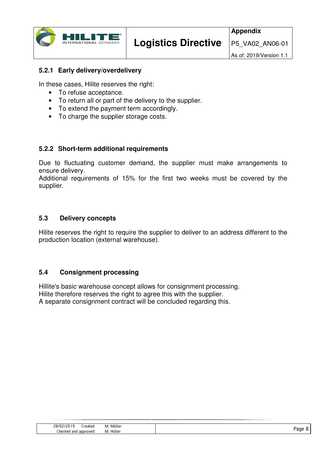

# **5.2.1 Early delivery/overdelivery**

In these cases, Hilite reserves the right:

- To refuse acceptance.
- To return all or part of the delivery to the supplier.
- To extend the payment term accordingly.
- To charge the supplier storage costs.

# **5.2.2 Short-term additional requirements**

Due to fluctuating customer demand, the supplier must make arrangements to ensure delivery.

Additional requirements of 15% for the first two weeks must be covered by the supplier.

# **5.3 Delivery concepts**

Hilite reserves the right to require the supplier to deliver to an address different to the production location (external warehouse).

### **5.4 Consignment processing**

Hillite's basic warehouse concept allows for consignment processing. Hilite therefore reserves the right to agree this with the supplier. A separate consignment contract will be concluded regarding this.

| 1.11<br>-78/N<br>reated.<br>. Muller<br>IVI.<br>ی ہے ۔<br>the contract of the contract of the contract of the contract of the contract of the contract of the contract of |          |
|---------------------------------------------------------------------------------------------------------------------------------------------------------------------------|----------|
| Hüller<br>_heck<br>' anc<br>, aooroved.<br>M.<br>חרי<br>:LNEL<br>.                                                                                                        | ane<br>- |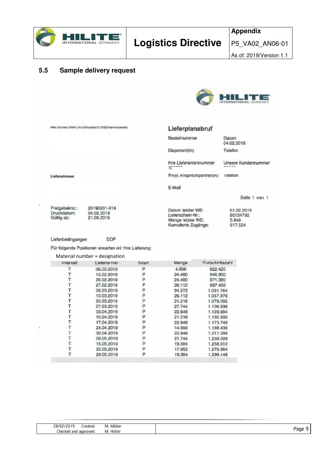

### **5.5 Sample delivery request**



Hille Germany GribH | Am Schlossleid 5 | 97828 Marktheidenleid

#### Lieferplanabruf

Bestellnummer

Disponent(in)

Datum 04.02.2019 Telefon

Ihre Lieferantennummer  $10^{-11}$ 

Datum letzter WE:

Menge letzter WE:

Kumulierte Zugänge:

Lieferschein-Nr.:

lhr(e) Ansprechpartner(in) Teleton

E-Mail

Seite 1 von 1

01.02.2019

80154792

5,848

917.524

Unsere Kundennummer

Freigabeknz.: Druckdatum:<br>Gültig ab:

Lieferadresse:

20190201-016 04.02.2019

DDP Lieferbedingungen

Für folgende Positionen erwarten wir Ihre Lieferung:

Material number + designation

| Intervall | Liefertermin | fixiert | Menge  | Fortschrittszahl |
|-----------|--------------|---------|--------|------------------|
|           | 06.02.2019   | Ρ       | 4.896  | 922.420          |
|           | 13.02.2019   | P       | 24,480 | 946.900          |
|           | 20.02.2019   | P       | 24,480 | 971.380          |
|           | 27.02.2019   | F       | 26.112 | 997.492          |
|           | 06.03.2019   | P       | 34.272 | 1.031.764        |
|           | 13.03.2019   | P       | 26.112 | 1.057.876        |
|           | 20.03.2019   | P       | 21.216 | 1.079.092        |
|           | 27.03.2019   | P       | 27.744 | 1.106.836        |
|           | 03.04.2019   | P       | 22,848 | 1.129.684        |
|           | 10.04.2019   | P       | 21.216 | 1.150.900        |
|           | 17.04.2019   | P       | 22.848 | 1.173.748        |
|           | 24.04.2019   | P       | 14.688 | 1.188.436        |
|           | 30.04.2019   | ₽       | 22.848 | 1,211,284        |
|           | 08.05.2019   | P       | 27.744 | 1.239.028        |
|           | 15.05.2019   |         | 19.584 | 1.258.612        |
|           | 22.05.2019   | P       | 17.952 | 1.276.564        |
|           | 29.05.2019   | Ρ       | 19.584 | 1.296.148        |

| Müller<br>28/1<br>reated<br>IVI.<br>z<br>the contract of the contract of the contract of |     |
|------------------------------------------------------------------------------------------|-----|
| Hüller<br>_her<br>and<br>approved.<br>⊺ked i<br>IVI.                                     | aoe |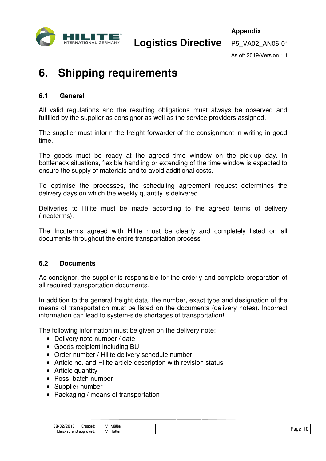

# **6. Shipping requirements**

# **6.1 General**

All valid regulations and the resulting obligations must always be observed and fulfilled by the supplier as consignor as well as the service providers assigned.

The supplier must inform the freight forwarder of the consignment in writing in good time.

The goods must be ready at the agreed time window on the pick-up day. In bottleneck situations, flexible handling or extending of the time window is expected to ensure the supply of materials and to avoid additional costs.

To optimise the processes, the scheduling agreement request determines the delivery days on which the weekly quantity is delivered.

Deliveries to Hilite must be made according to the agreed terms of delivery (Incoterms).

The Incoterms agreed with Hilite must be clearly and completely listed on all documents throughout the entire transportation process

### **6.2 Documents**

As consignor, the supplier is responsible for the orderly and complete preparation of all required transportation documents.

In addition to the general freight data, the number, exact type and designation of the means of transportation must be listed on the documents (delivery notes). Incorrect information can lead to system-side shortages of transportation!

The following information must be given on the delivery note:

- Delivery note number / date
- Goods recipient including BU
- Order number / Hilite delivery schedule number
- Article no, and Hilite article description with revision status
- Article quantity
- Poss. batch number
- Supplier number
- Packaging / means of transportation

| 28/<br>' ediel                | <br>M. Mulle |       |
|-------------------------------|--------------|-------|
| _hecked<br>' and<br>aooroved: | Hüller<br>M. | . 80F |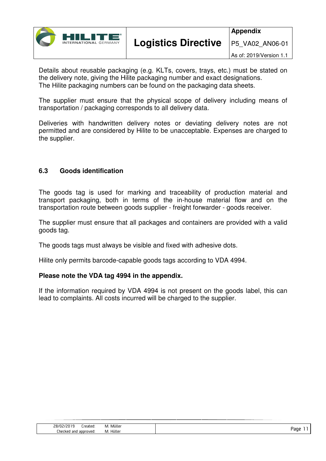

Details about reusable packaging (e.g. KLTs, covers, trays, etc.) must be stated on the delivery note, giving the Hilite packaging number and exact designations. The Hilite packaging numbers can be found on the packaging data sheets.

The supplier must ensure that the physical scope of delivery including means of transportation / packaging corresponds to all delivery data.

Deliveries with handwritten delivery notes or deviating delivery notes are not permitted and are considered by Hilite to be unacceptable. Expenses are charged to the supplier.

# **6.3 Goods identification**

The goods tag is used for marking and traceability of production material and transport packaging, both in terms of the in-house material flow and on the transportation route between goods supplier - freight forwarder - goods receiver.

The supplier must ensure that all packages and containers are provided with a valid goods tag.

The goods tags must always be visible and fixed with adhesive dots.

Hilite only permits barcode-capable goods tags according to VDA 4994.

### **Please note the VDA tag 4994 in the appendix.**

If the information required by VDA 4994 is not present on the goods label, this can lead to complaints. All costs incurred will be charged to the supplier.

| Mülle<br>.ו/פי<br>IVI.<br>$\overline{\phantom{0}}$<br>eated:<br>the contract of the contract of the contract of the contract of the contract of the contract of the contract of |               |
|---------------------------------------------------------------------------------------------------------------------------------------------------------------------------------|---------------|
| Hülle<br>Lher<br>and<br>roved<br>-крп<br>IVI.<br>ann<br>EU.                                                                                                                     | aor<br>∽<br>- |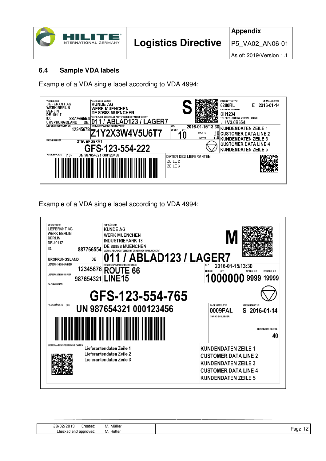|  | œ<br><b>INTERNATIONAL GERMANY</b> |
|--|-----------------------------------|
|--|-----------------------------------|

**Appendix**

P5\_VA02\_AN06-01

As of: 2019/Version 1.1

# **6.4 Sample VDA labels**

Example of a VDA single label according to VDA 4994:

| <b><i>WARENEMPÄNGER</i></b><br><b>VERSENDER</b><br><b>LIEFERANT AG</b><br><b>KUNDE AG</b><br><b>WERK BERLIN</b><br><b>WERK MUENCHEN</b><br><b>BERLIN</b><br><b>DE 80888 MUENCHEN</b><br>DE-10117<br>NER BESTIMMUNGSORT<br>ID:<br>887766554 | VERFALLDATUM<br>PACKMITTELTYP<br>2016-01-14<br>6280RL<br>F.<br><b>CHARGENNUMMER</b><br>CH1234<br>TEILEGER. (HARDY) - / SOFTV/. - STAND                                                                                                            |
|--------------------------------------------------------------------------------------------------------------------------------------------------------------------------------------------------------------------------------------------|---------------------------------------------------------------------------------------------------------------------------------------------------------------------------------------------------------------------------------------------------|
| .AGER7<br>DE<br>URSPRUNGSLAND<br><b>LIEFERSCHEINNUMMER</b><br>KUNDENSPEZIFISCHES ROUTING<br>12345678<br>Y2X3W4V5U6T7<br><b>SACHNUMMER</b><br><b>STEUERGERÄT</b><br>GFS-123-554-222                                                         | //V3.0B654<br><b>ETA</b><br>2016-01-15/13:30 KUNDENDATEN ZEILE 1<br>MENGE<br>(ST)<br><b>10 CUSTOMER DATA LINE 2</b><br><b>BRUTTO</b><br>U<br>7.8 KUNDENDATEN ZEILE 3<br><b>NETTO</b><br><b>CUSTOMER DATA LINE 4</b><br><b>KUNDENDATEN ZEILE 5</b> |
| <b>PACKSTUCK-ID</b><br>UN 987654321 000123458<br>(1J)                                                                                                                                                                                      | <b>DATEN DES LIEFERANTEN</b><br>ZEILE <sub>2</sub><br>ZEILE <sub>3</sub>                                                                                                                                                                          |

Example of a VDA single label according to VDA 4994:

| <b>VERSENDER</b><br><b>LIEFERANT AG</b><br><b>WERK BERLIN</b><br><b>BERLIN</b><br>DE-10117<br>١D٠<br><b>URSPRUNGSLAND</b> | 887766554<br>DE              | <b>EMPFÅNGER</b><br><b>KUNDE AG</b><br><b>WERK MUENCHEN</b><br><b>INDUSTRIEPARK 13</b><br>DE 80888 MUENCHEN<br><b>NERK I ABLADESTELLE / INTERNER BESTIMMUNGSORT</b> | 11 / ABLAD123 / LAGER7                                                                                                 |
|---------------------------------------------------------------------------------------------------------------------------|------------------------------|---------------------------------------------------------------------------------------------------------------------------------------------------------------------|------------------------------------------------------------------------------------------------------------------------|
| <b>LIEFERSCHEINNUMMER</b><br>LIEFERANTENNUMMER                                                                            | 12345678<br>987654321 LINE15 | <b>ROUTE 66</b>                                                                                                                                                     | ETA<br>2016-01-15/13:30<br><b>MENGE</b><br>NETTO KG<br><b>BRUTTO KG</b><br>1000000 9999 19999                          |
| SACHNUMMER                                                                                                                |                              | GFS-123-554-765                                                                                                                                                     |                                                                                                                        |
| <b>PACKSTÜCK-ID</b><br>(6J)                                                                                               |                              | UN 987654321 000123456                                                                                                                                              | PACKMITTELTYP<br>VERSANDDATUM<br>0009PAL<br>S 2016-01-14<br>CHARGENNUMMER<br><b>ANZ INNERE PACKM.</b><br>40            |
| LIEFERANTENSPEZIFISCHE DATEN                                                                                              |                              | Lieferantendaten Zeile 1<br>Lieferantendaten Zeile 2<br>Lieferantendaten Zeile 3                                                                                    | <b>KUNDENDATEN ZEILE 1</b><br><b>CUSTOMER DATA LINE 2</b><br><b>KUNDENDATEN ZEILE 3</b><br><b>CUSTOMER DATA LINE 4</b> |

| 1.11                                                                                     |
|------------------------------------------------------------------------------------------|
| Mulle<br>the contract of the contract of the contract of the contract of the contract of |
| Hüller                                                                                   |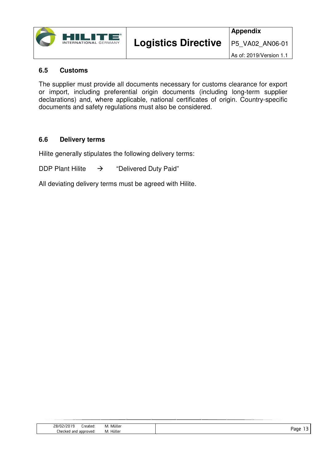

### **6.5 Customs**

The supplier must provide all documents necessary for customs clearance for export or import, including preferential origin documents (including long-term supplier declarations) and, where applicable, national certificates of origin. Country-specific documents and safety regulations must also be considered.

# **6.6 Delivery terms**

Hilite generally stipulates the following delivery terms:

DDP Plant Hilite  $\rightarrow$  "Delivered Duty Paid"

All deviating delivery terms must be agreed with Hilite.

| 28/N<br>гоэго<br>$\mathbf{H}$<br>ralru<br>- ' | <br>Muller<br>IVI.<br>the contract of the contract of the contract of the contract of the contract of |   |
|-----------------------------------------------|-------------------------------------------------------------------------------------------------------|---|
| _hecked<br>and<br>nver<br>anor<br>,,,,,,,     | <br>Huller<br>IVI.                                                                                    | − |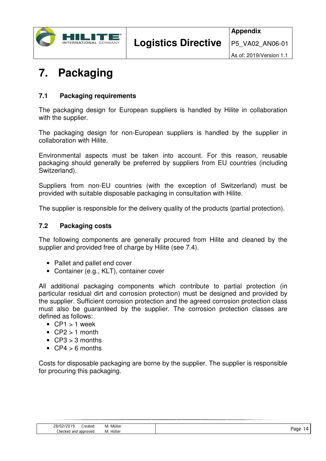

# **7. Packaging**

# **7.1 Packaging requirements**

The packaging design for European suppliers is handled by Hilite in collaboration with the supplier.

The packaging design for non-European suppliers is handled by the supplier in collaboration with Hilite.

Environmental aspects must be taken into account. For this reason, reusable packaging should generally be preferred by suppliers from EU countries (including Switzerland).

Suppliers from non-EU countries (with the exception of Switzerland) must be provided with suitable disposable packaging in consultation with Hilite.

The supplier is responsible for the delivery quality of the products (partial protection).

# **7.2 Packaging costs**

The following components are generally procured from Hilite and cleaned by the supplier and provided free of charge by Hilite (see 7.4).

- Pallet and pallet end cover
- Container (e.g., KLT), container cover

All additional packaging components which contribute to partial protection (in particular residual dirt and corrosion protection) must be designed and provided by the supplier. Sufficient corrosion protection and the agreed corrosion protection class must also be guaranteed by the supplier. The corrosion protection classes are defined as follows:

- $\bullet$  CP1 > 1 week
- $\bullet$  CP2 > 1 month
- $CP3 > 3$  months
- $CP4 > 6$  months

Costs for disposable packaging are borne by the supplier. The supplier is responsible for procuring this packaging.

| 28/N<br>--<br>eated        | Mülle<br>M.<br>the contract of the contract of the contract of the contract of the contract of |       |
|----------------------------|------------------------------------------------------------------------------------------------|-------|
| approved<br>_hecked<br>and | Hüller<br>M.                                                                                   | . dur |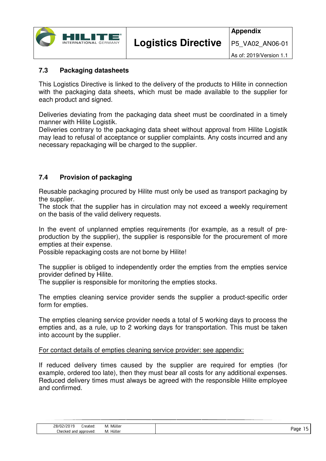

# **7.3 Packaging datasheets**

This Logistics Directive is linked to the delivery of the products to Hilite in connection with the packaging data sheets, which must be made available to the supplier for each product and signed.

Deliveries deviating from the packaging data sheet must be coordinated in a timely manner with Hilite Logistik.

Deliveries contrary to the packaging data sheet without approval from Hilite Logistik may lead to refusal of acceptance or supplier complaints. Any costs incurred and any necessary repackaging will be charged to the supplier.

# **7.4 Provision of packaging**

 $\mathsf{I}$ 

Reusable packaging procured by Hilite must only be used as transport packaging by the supplier.

The stock that the supplier has in circulation may not exceed a weekly requirement on the basis of the valid delivery requests.

In the event of unplanned empties requirements (for example, as a result of preproduction by the supplier), the supplier is responsible for the procurement of more empties at their expense.

Possible repackaging costs are not borne by Hilite!

The supplier is obliged to independently order the empties from the empties service provider defined by Hilite.

The supplier is responsible for monitoring the empties stocks.

The empties cleaning service provider sends the supplier a product-specific order form for empties.

The empties cleaning service provider needs a total of 5 working days to process the empties and, as a rule, up to 2 working days for transportation. This must be taken into account by the supplier.

#### For contact details of empties cleaning service provider: see appendix:

If reduced delivery times caused by the supplier are required for empties (for example, ordered too late), then they must bear all costs for any additional expenses. Reduced delivery times must always be agreed with the responsible Hilite employee and confirmed.

| コロハ<br>ו 20<br>reated:<br>∵0∟ | .<br>Mülle<br><b>IV</b> |     |
|-------------------------------|-------------------------|-----|
| _hecked<br>aooroved<br>and    | .<br>Hulle<br>IVI.      | anı |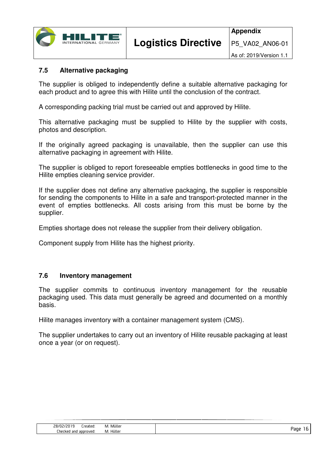

# **7.5 Alternative packaging**

The supplier is obliged to independently define a suitable alternative packaging for each product and to agree this with Hilite until the conclusion of the contract.

A corresponding packing trial must be carried out and approved by Hilite.

This alternative packaging must be supplied to Hilite by the supplier with costs, photos and description.

If the originally agreed packaging is unavailable, then the supplier can use this alternative packaging in agreement with Hilite.

The supplier is obliged to report foreseeable empties bottlenecks in good time to the Hilite empties cleaning service provider.

If the supplier does not define any alternative packaging, the supplier is responsible for sending the components to Hilite in a safe and transport-protected manner in the event of empties bottlenecks. All costs arising from this must be borne by the supplier.

Empties shortage does not release the supplier from their delivery obligation.

Component supply from Hilite has the highest priority.

#### **7.6 Inventory management**

The supplier commits to continuous inventory management for the reusable packaging used. This data must generally be agreed and documented on a monthly basis.

Hilite manages inventory with a container management system (CMS).

The supplier undertakes to carry out an inventory of Hilite reusable packaging at least once a year (or on request).

| 78/1.<br>'eated<br>$\overline{\phantom{a}}$ | .<br>Mulle<br>IVI.<br>the contract of the contract of the contract of the contract of the contract of the contract of the contract of |      |
|---------------------------------------------|---------------------------------------------------------------------------------------------------------------------------------------|------|
| _hecked_<br>and<br>roved<br>ann             | Hülle<br>IVI.                                                                                                                         | ∽anr |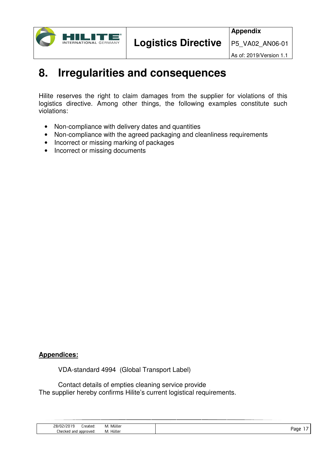

As of: 2019/Version 1.1

# **8. Irregularities and consequences**

Hilite reserves the right to claim damages from the supplier for violations of this logistics directive. Among other things, the following examples constitute such violations:

- Non-compliance with delivery dates and quantities
- Non-compliance with the agreed packaging and cleanliness requirements
- Incorrect or missing marking of packages
- Incorrect or missing documents

### **Appendices:**

VDA-standard 4994 (Global Transport Label)

 Contact details of empties cleaning service provide The supplier hereby confirms Hilite's current logistical requirements.

| 28/02<br>'20 1<br>reated: | . Müller<br>IVI.<br>the contract of the contract of the contract of the contract of the contract of | __   |
|---------------------------|-----------------------------------------------------------------------------------------------------|------|
| Checked and approved:     | Hüller<br>M.                                                                                        | 'aqe |